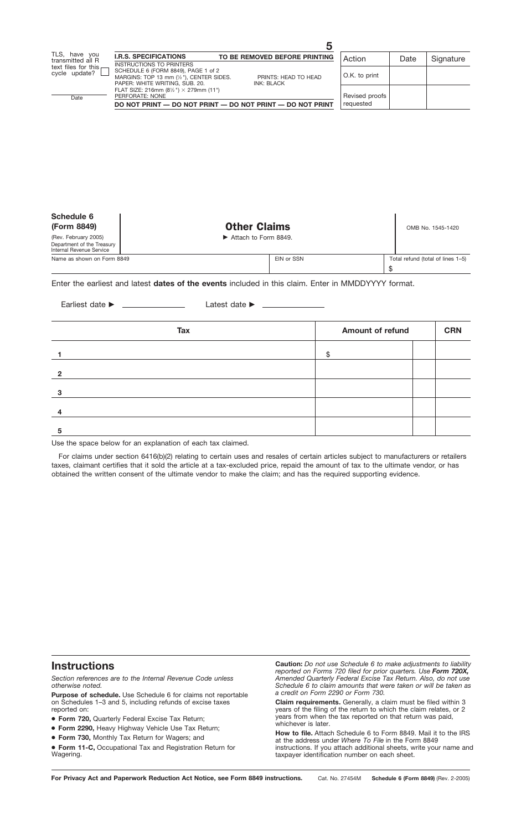| Schedule 6<br>(Form 8849)                                                      | <b>Other Claims</b>  |            | OMB No. 1545-1420                 |
|--------------------------------------------------------------------------------|----------------------|------------|-----------------------------------|
| (Rev. February 2005)<br>Department of the Treasury<br>Internal Revenue Service | Attach to Form 8849. |            |                                   |
| Name as shown on Form 8849                                                     |                      | EIN or SSN | Total refund (total of lines 1-5) |
|                                                                                |                      |            |                                   |

#### Enter the earliest and latest **dates of the events** included in this claim. Enter in MMDDYYYY format.

**Amount of refund 1 2 3 4 5 Tax** Earliest date ► Latest date ► \$ **CRN**

Use the space below for an explanation of each tax claimed.

For claims under section 6416(b)(2) relating to certain uses and resales of certain articles subject to manufacturers or retailers taxes, claimant certifies that it sold the article at a tax-excluded price, repaid the amount of tax to the ultimate vendor, or has obtained the written consent of the ultimate vendor to make the claim; and has the required supporting evidence.

# **Instructions**

*Section references are to the Internal Revenue Code unless otherwise noted.*

Purpose of schedule. Use Schedule 6 for claims not reportable on Schedules 1–3 and 5, including refunds of excise taxes reported on:

- **Form 720,** Quarterly Federal Excise Tax Return;
- **Form 2290,** Heavy Highway Vehicle Use Tax Return;
- **Form 730,** Monthly Tax Return for Wagers; and
- **Form 11-C,** Occupational Tax and Registration Return for Wagering.

**Caution:** *Do not use Schedule 6 to make adjustments to liability reported on Forms 720 filed for prior quarters. Use Form 720X, Amended Quarterly Federal Excise Tax Return. Also, do not use Schedule 6 to claim amounts that were taken or will be taken as*

**Claim requirements.** Generally, a claim must be filed within 3 years of the filing of the return to which the claim relates, or 2 years from when the tax reported on that return was paid, whichever is later.

**How to file.** Attach Schedule 6 to Form 8849. Mail it to the IRS at the address under *Where To File* in the Form 8849 instructions. If you attach additional sheets, write your name and taxpayer identification number on each sheet.